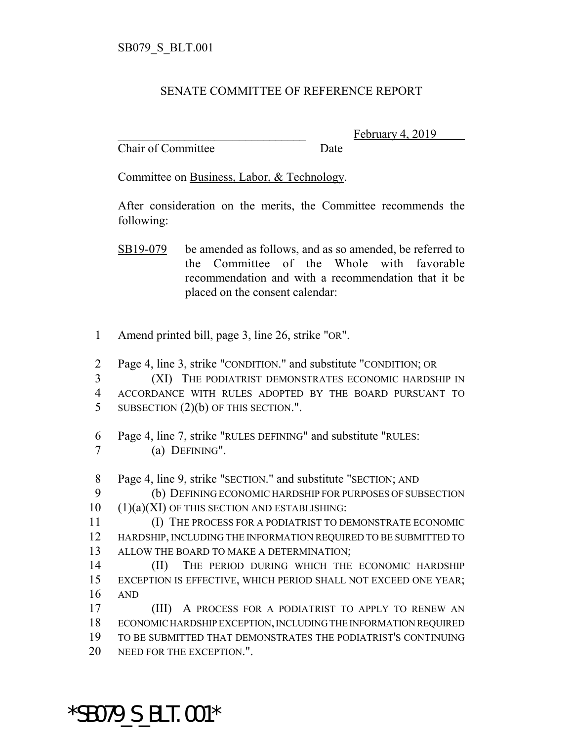## SENATE COMMITTEE OF REFERENCE REPORT

Chair of Committee Date

February 4, 2019

Committee on Business, Labor, & Technology.

After consideration on the merits, the Committee recommends the following:

- SB19-079 be amended as follows, and as so amended, be referred to the Committee of the Whole with favorable recommendation and with a recommendation that it be placed on the consent calendar:
- 1 Amend printed bill, page 3, line 26, strike "OR".
- 2 Page 4, line 3, strike "CONDITION." and substitute "CONDITION; OR

3 (XI) THE PODIATRIST DEMONSTRATES ECONOMIC HARDSHIP IN 4 ACCORDANCE WITH RULES ADOPTED BY THE BOARD PURSUANT TO 5 SUBSECTION (2)(b) OF THIS SECTION.".

6 Page 4, line 7, strike "RULES DEFINING" and substitute "RULES: 7 (a) DEFINING".

- 8 Page 4, line 9, strike "SECTION." and substitute "SECTION; AND
- 9 (b) DEFINING ECONOMIC HARDSHIP FOR PURPOSES OF SUBSECTION 10 (1)(a)(XI) OF THIS SECTION AND ESTABLISHING:
- 11 (I) THE PROCESS FOR A PODIATRIST TO DEMONSTRATE ECONOMIC 12 HARDSHIP, INCLUDING THE INFORMATION REQUIRED TO BE SUBMITTED TO 13 ALLOW THE BOARD TO MAKE A DETERMINATION;
- 14 (II) THE PERIOD DURING WHICH THE ECONOMIC HARDSHIP 15 EXCEPTION IS EFFECTIVE, WHICH PERIOD SHALL NOT EXCEED ONE YEAR; 16 AND

 (III) A PROCESS FOR A PODIATRIST TO APPLY TO RENEW AN ECONOMIC HARDSHIP EXCEPTION, INCLUDING THE INFORMATION REQUIRED TO BE SUBMITTED THAT DEMONSTRATES THE PODIATRIST'S CONTINUING NEED FOR THE EXCEPTION.".

\*SB079\_S\_BLT.001\*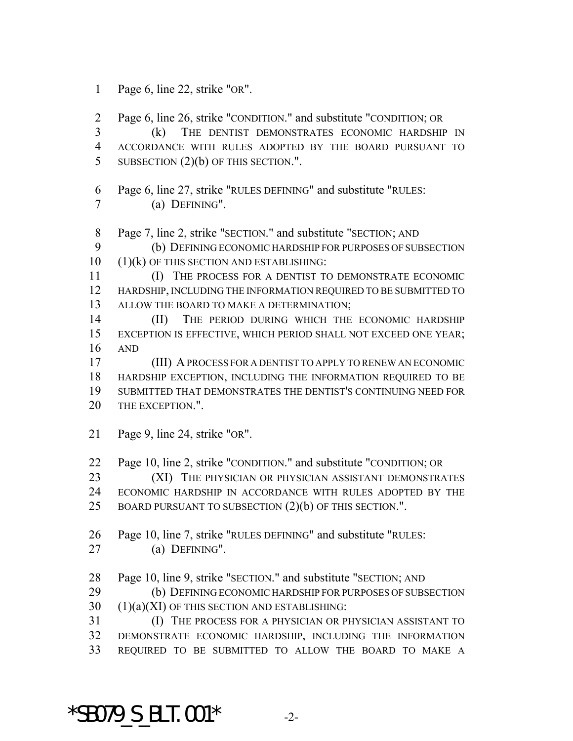Page 6, line 22, strike "OR".

 Page 6, line 26, strike "CONDITION." and substitute "CONDITION; OR (k) THE DENTIST DEMONSTRATES ECONOMIC HARDSHIP IN ACCORDANCE WITH RULES ADOPTED BY THE BOARD PURSUANT TO 5 SUBSECTION (2)(b) OF THIS SECTION.".

Page 6, line 27, strike "RULES DEFINING" and substitute "RULES:

(a) DEFINING".

Page 7, line 2, strike "SECTION." and substitute "SECTION; AND

 (b) DEFINING ECONOMIC HARDSHIP FOR PURPOSES OF SUBSECTION (1)(k) OF THIS SECTION AND ESTABLISHING:

 (I) THE PROCESS FOR A DENTIST TO DEMONSTRATE ECONOMIC HARDSHIP, INCLUDING THE INFORMATION REQUIRED TO BE SUBMITTED TO 13 ALLOW THE BOARD TO MAKE A DETERMINATION;

 (II) THE PERIOD DURING WHICH THE ECONOMIC HARDSHIP EXCEPTION IS EFFECTIVE, WHICH PERIOD SHALL NOT EXCEED ONE YEAR; AND

 (III) A PROCESS FOR A DENTIST TO APPLY TO RENEW AN ECONOMIC HARDSHIP EXCEPTION, INCLUDING THE INFORMATION REQUIRED TO BE SUBMITTED THAT DEMONSTRATES THE DENTIST'S CONTINUING NEED FOR 20 THE EXCEPTION."

Page 9, line 24, strike "OR".

Page 10, line 2, strike "CONDITION." and substitute "CONDITION; OR

23 (XI) THE PHYSICIAN OR PHYSICIAN ASSISTANT DEMONSTRATES ECONOMIC HARDSHIP IN ACCORDANCE WITH RULES ADOPTED BY THE

BOARD PURSUANT TO SUBSECTION (2)(b) OF THIS SECTION.".

Page 10, line 7, strike "RULES DEFINING" and substitute "RULES:

(a) DEFINING".

Page 10, line 9, strike "SECTION." and substitute "SECTION; AND

29 (b) DEFINING ECONOMIC HARDSHIP FOR PURPOSES OF SUBSECTION (1)(a)(XI) OF THIS SECTION AND ESTABLISHING:

 (I) THE PROCESS FOR A PHYSICIAN OR PHYSICIAN ASSISTANT TO DEMONSTRATE ECONOMIC HARDSHIP, INCLUDING THE INFORMATION REQUIRED TO BE SUBMITTED TO ALLOW THE BOARD TO MAKE A

\*SB079 S BLT.001\*  $-2$ -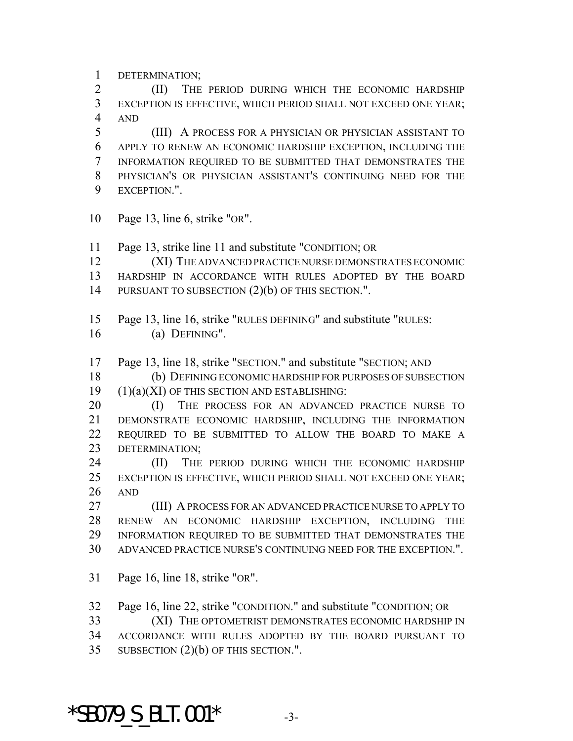DETERMINATION;

 (II) THE PERIOD DURING WHICH THE ECONOMIC HARDSHIP EXCEPTION IS EFFECTIVE, WHICH PERIOD SHALL NOT EXCEED ONE YEAR; AND

 (III) A PROCESS FOR A PHYSICIAN OR PHYSICIAN ASSISTANT TO APPLY TO RENEW AN ECONOMIC HARDSHIP EXCEPTION, INCLUDING THE INFORMATION REQUIRED TO BE SUBMITTED THAT DEMONSTRATES THE PHYSICIAN'S OR PHYSICIAN ASSISTANT'S CONTINUING NEED FOR THE EXCEPTION.".

- Page 13, line 6, strike "OR".
- Page 13, strike line 11 and substitute "CONDITION; OR
- (XI) THE ADVANCED PRACTICE NURSE DEMONSTRATES ECONOMIC HARDSHIP IN ACCORDANCE WITH RULES ADOPTED BY THE BOARD 14 PURSUANT TO SUBSECTION  $(2)(b)$  OF THIS SECTION.".
- Page 13, line 16, strike "RULES DEFINING" and substitute "RULES:
- (a) DEFINING".
- Page 13, line 18, strike "SECTION." and substitute "SECTION; AND

 (b) DEFINING ECONOMIC HARDSHIP FOR PURPOSES OF SUBSECTION (1)(a)(XI) OF THIS SECTION AND ESTABLISHING:

- 20 (I) THE PROCESS FOR AN ADVANCED PRACTICE NURSE TO DEMONSTRATE ECONOMIC HARDSHIP, INCLUDING THE INFORMATION REQUIRED TO BE SUBMITTED TO ALLOW THE BOARD TO MAKE A DETERMINATION;
- (II) THE PERIOD DURING WHICH THE ECONOMIC HARDSHIP EXCEPTION IS EFFECTIVE, WHICH PERIOD SHALL NOT EXCEED ONE YEAR; AND

 (III) A PROCESS FOR AN ADVANCED PRACTICE NURSE TO APPLY TO RENEW AN ECONOMIC HARDSHIP EXCEPTION, INCLUDING THE INFORMATION REQUIRED TO BE SUBMITTED THAT DEMONSTRATES THE ADVANCED PRACTICE NURSE'S CONTINUING NEED FOR THE EXCEPTION.".

Page 16, line 18, strike "OR".

Page 16, line 22, strike "CONDITION." and substitute "CONDITION; OR

- (XI) THE OPTOMETRIST DEMONSTRATES ECONOMIC HARDSHIP IN
- ACCORDANCE WITH RULES ADOPTED BY THE BOARD PURSUANT TO
- SUBSECTION (2)(b) OF THIS SECTION.".

\*SB079 S BLT.001\*  $-3$ -